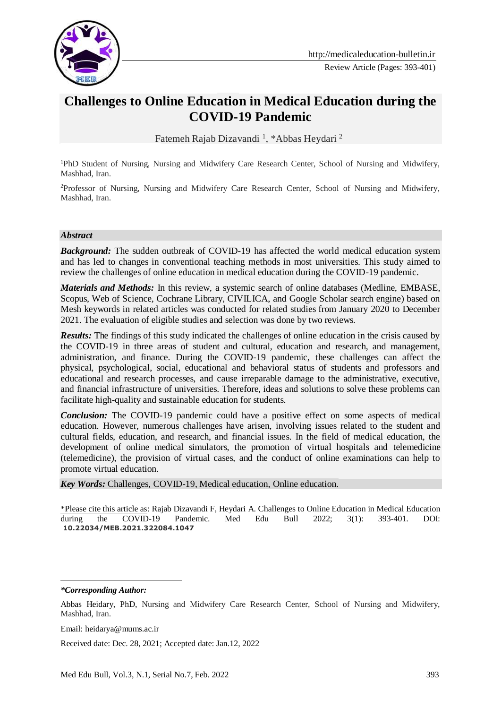

# **Challenges to Online Education in Medical Education during the COVID-19 Pandemic**

Fatemeh Rajab Dizavandi<sup>1</sup>, \*Abbas Heydari<sup>2</sup>

<sup>1</sup>PhD Student of Nursing, Nursing and Midwifery Care Research Center, School of Nursing and Midwifery, Mashhad, Iran.

<sup>2</sup>Professor of Nursing, Nursing and Midwifery Care Research Center, School of Nursing and Midwifery, Mashhad, Iran.

#### *Abstract*

**Background:** The sudden outbreak of COVID-19 has affected the world medical education system and has led to changes in conventional teaching methods in most universities. This study aimed to review the challenges of online education in medical education during the COVID-19 pandemic.

*Materials and Methods:* In this review, a systemic search of online databases (Medline, EMBASE, Scopus, Web of Science, Cochrane Library, CIVILICA, and Google Scholar search engine) based on Mesh keywords in related articles was conducted for related studies from January 2020 to December 2021. The evaluation of eligible studies and selection was done by two reviews.

*Results:* The findings of this study indicated the challenges of online education in the crisis caused by the COVID-19 in three areas of student and cultural, education and research, and management, administration, and finance. During the COVID-19 pandemic, these challenges can affect the physical, psychological, social, educational and behavioral status of students and professors and educational and research processes, and cause irreparable damage to the administrative, executive, and financial infrastructure of universities. Therefore, ideas and solutions to solve these problems can facilitate high-quality and sustainable education for students.

*Conclusion:* The COVID-19 pandemic could have a positive effect on some aspects of medical education. However, numerous challenges have arisen, involving issues related to the student and cultural fields, education, and research, and financial issues. In the field of medical education, the development of online medical simulators, the promotion of virtual hospitals and telemedicine (telemedicine), the provision of virtual cases, and the conduct of online examinations can help to promote virtual education.

*Key Words:* Challenges, COVID-19, Medical education, Online education.

\*Please cite this article as: Rajab Dizavandi F, Heydari A. Challenges to Online Education in Medical Education during the COVID-19 Pandemic. Med Edu Bull 2022; 3(1): 393-401. DOI: **10.22034/MEB.2021.322084.1047**

*\*Corresponding Author:*

<u>.</u>

Email: heidarya@mums.ac.ir

Received date: Dec. 28, 2021; Accepted date: Jan.12, 2022

Abbas Heidary, PhD, Nursing and Midwifery Care Research Center, School of Nursing and Midwifery, Mashhad, Iran.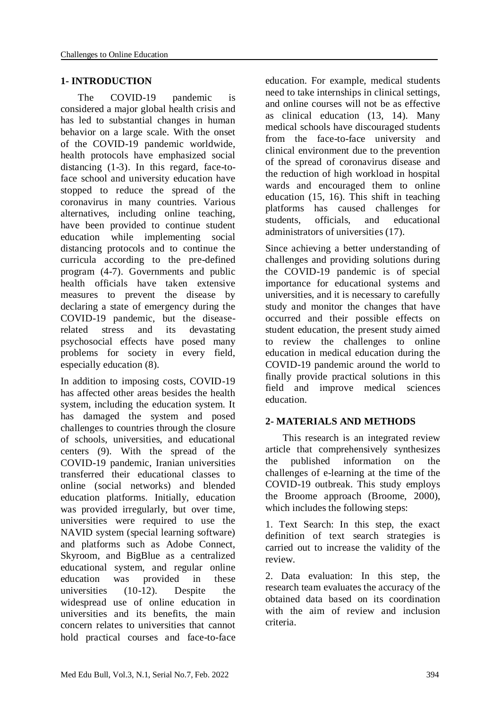### **1- INTRODUCTION**

 The COVID-19 pandemic is considered a major global health crisis and has led to substantial changes in human behavior on a large scale. With the onset of the COVID-19 pandemic worldwide, health protocols have emphasized social distancing (1-3). In this regard, face-toface school and university education have stopped to reduce the spread of the coronavirus in many countries. Various alternatives, including online teaching, have been provided to continue student education while implementing social distancing protocols and to continue the curricula according to the pre-defined program (4-7). Governments and public health officials have taken extensive measures to prevent the disease by declaring a state of emergency during the COVID-19 pandemic, but the diseaserelated stress and its devastating psychosocial effects have posed many problems for society in every field, especially education (8).

In addition to imposing costs, COVID-19 has affected other areas besides the health system, including the education system. It has damaged the system and posed challenges to countries through the closure of schools, universities, and educational centers (9). With the spread of the COVID-19 pandemic, Iranian universities transferred their educational classes to online (social networks) and blended education platforms. Initially, education was provided irregularly, but over time, universities were required to use the NAVID system (special learning software) and platforms such as Adobe Connect, Skyroom, and BigBlue as a centralized educational system, and regular online education was provided in these universities (10-12). Despite the widespread use of online education in universities and its benefits, the main concern relates to universities that cannot hold practical courses and face-to-face education. For example, medical students need to take internships in clinical settings, and online courses will not be as effective as clinical education (13, 14). Many medical schools have discouraged students from the face-to-face university and clinical environment due to the prevention of the spread of coronavirus disease and the reduction of high workload in hospital wards and encouraged them to online education (15, 16). This shift in teaching platforms has caused challenges for students, officials, and educational administrators of universities (17).

Since achieving a better understanding of challenges and providing solutions during the COVID-19 pandemic is of special importance for educational systems and universities, and it is necessary to carefully study and monitor the changes that have occurred and their possible effects on student education, the present study aimed to review the challenges to online education in medical education during the COVID-19 pandemic around the world to finally provide practical solutions in this field and improve medical sciences education.

#### **2- MATERIALS AND METHODS**

 This research is an integrated review article that comprehensively synthesizes the published information on the challenges of e-learning at the time of the COVID-19 outbreak. This study employs the Broome approach (Broome, 2000), which includes the following steps:

1. Text Search: In this step, the exact definition of text search strategies is carried out to increase the validity of the review.

2. Data evaluation: In this step, the research team evaluates the accuracy of the obtained data based on its coordination with the aim of review and inclusion criteria.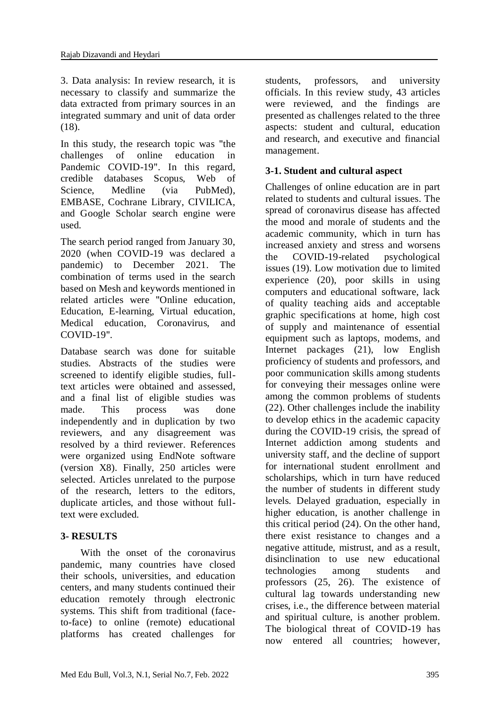3. Data analysis: In review research, it is necessary to classify and summarize the data extracted from primary sources in an integrated summary and unit of data order (18).

In this study, the research topic was "the challenges of online education in Pandemic COVID-19". In this regard, credible databases Scopus, Web of Science, Medline (via PubMed), EMBASE, Cochrane Library, CIVILICA, and Google Scholar search engine were used.

The search period ranged from January 30, 2020 (when COVID-19 was declared a pandemic) to December 2021. The combination of terms used in the search based on Mesh and keywords mentioned in related articles were "Online education, Education, E-learning, Virtual education, Medical education, Coronavirus, and COVID-19".

Database search was done for suitable studies. Abstracts of the studies were screened to identify eligible studies, fulltext articles were obtained and assessed, and a final list of eligible studies was made. This process was done independently and in duplication by two reviewers, and any disagreement was resolved by a third reviewer. References were organized using EndNote software (version X8). Finally, 250 articles were selected. Articles unrelated to the purpose of the research, letters to the editors, duplicate articles, and those without fulltext were excluded.

# **3- RESULTS**

 With the onset of the coronavirus pandemic, many countries have closed their schools, universities, and education centers, and many students continued their education remotely through electronic systems. This shift from traditional (faceto-face) to online (remote) educational platforms has created challenges for students, professors, and university officials. In this review study, 43 articles were reviewed, and the findings are presented as challenges related to the three aspects: student and cultural, education and research, and executive and financial management.

## **3-1. Student and cultural aspect**

Challenges of online education are in part related to students and cultural issues. The spread of coronavirus disease has affected the mood and morale of students and the academic community, which in turn has increased anxiety and stress and worsens the COVID-19-related psychological issues (19). Low motivation due to limited experience (20), poor skills in using computers and educational software, lack of quality teaching aids and acceptable graphic specifications at home, high cost of supply and maintenance of essential equipment such as laptops, modems, and Internet packages (21), low English proficiency of students and professors, and poor communication skills among students for conveying their messages online were among the common problems of students (22). Other challenges include the inability to develop ethics in the academic capacity during the COVID-19 crisis, the spread of Internet addiction among students and university staff, and the decline of support for international student enrollment and scholarships, which in turn have reduced the number of students in different study levels. Delayed graduation, especially in higher education, is another challenge in this critical period (24). On the other hand, there exist resistance to changes and a negative attitude, mistrust, and as a result, disinclination to use new educational technologies among students and professors (25, 26). The existence of cultural lag towards understanding new crises, i.e., the difference between material and spiritual culture, is another problem. The biological threat of COVID-19 has now entered all countries; however,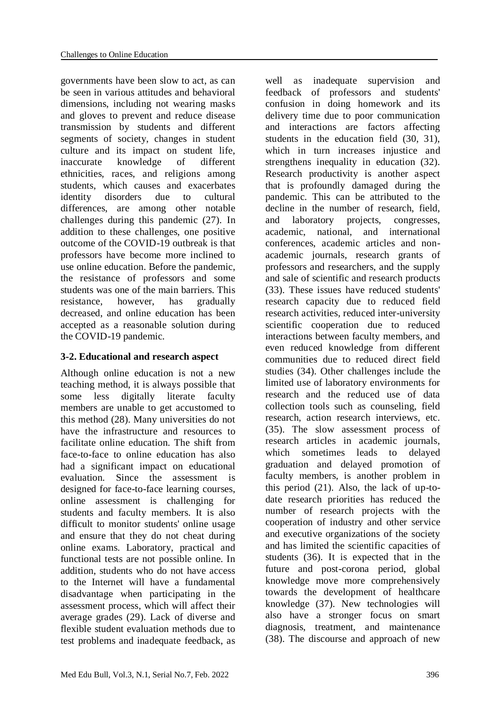governments have been slow to act, as can be seen in various attitudes and behavioral dimensions, including not wearing masks and gloves to prevent and reduce disease transmission by students and different segments of society, changes in student culture and its impact on student life, inaccurate knowledge of different ethnicities, races, and religions among students, which causes and exacerbates identity disorders due to cultural differences, are among other notable challenges during this pandemic (27). In addition to these challenges, one positive outcome of the COVID-19 outbreak is that professors have become more inclined to use online education. Before the pandemic, the resistance of professors and some students was one of the main barriers. This resistance, however, has gradually decreased, and online education has been accepted as a reasonable solution during the COVID-19 pandemic.

# **3-2. Educational and research aspect**

Although online education is not a new teaching method, it is always possible that some less digitally literate faculty members are unable to get accustomed to this method (28). Many universities do not have the infrastructure and resources to facilitate online education. The shift from face-to-face to online education has also had a significant impact on educational evaluation. Since the assessment is designed for face-to-face learning courses, online assessment is challenging for students and faculty members. It is also difficult to monitor students' online usage and ensure that they do not cheat during online exams. Laboratory, practical and functional tests are not possible online. In addition, students who do not have access to the Internet will have a fundamental disadvantage when participating in the assessment process, which will affect their average grades (29). Lack of diverse and flexible student evaluation methods due to test problems and inadequate feedback, as

well as inadequate supervision and feedback of professors and students' confusion in doing homework and its delivery time due to poor communication and interactions are factors affecting students in the education field (30, 31), which in turn increases injustice and strengthens inequality in education (32). Research productivity is another aspect that is profoundly damaged during the pandemic. This can be attributed to the decline in the number of research, field, and laboratory projects, congresses, academic, national, and international conferences, academic articles and nonacademic journals, research grants of professors and researchers, and the supply and sale of scientific and research products (33). These issues have reduced students' research capacity due to reduced field research activities, reduced inter-university scientific cooperation due to reduced interactions between faculty members, and even reduced knowledge from different communities due to reduced direct field studies (34). Other challenges include the limited use of laboratory environments for research and the reduced use of data collection tools such as counseling, field research, action research interviews, etc. (35). The slow assessment process of research articles in academic journals, which sometimes leads to delayed graduation and delayed promotion of faculty members, is another problem in this period (21). Also, the lack of up-todate research priorities has reduced the number of research projects with the cooperation of industry and other service and executive organizations of the society and has limited the scientific capacities of students (36). It is expected that in the future and post-corona period, global knowledge move more comprehensively towards the development of healthcare knowledge (37). New technologies will also have a stronger focus on smart diagnosis, treatment, and maintenance (38). The discourse and approach of new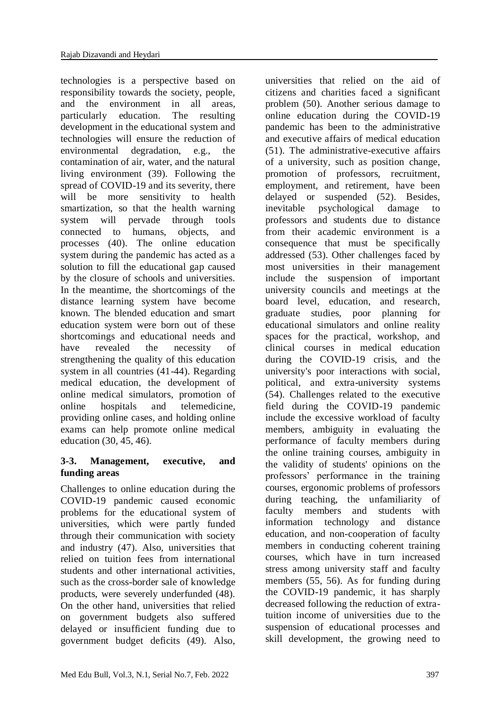technologies is a perspective based on responsibility towards the society, people, and the environment in all areas, particularly education. The resulting development in the educational system and technologies will ensure the reduction of environmental degradation, e.g., the contamination of air, water, and the natural living environment (39). Following the spread of COVID-19 and its severity, there will be more sensitivity to health smartization, so that the health warning system will pervade through tools connected to humans, objects, and processes (40). The online education system during the pandemic has acted as a solution to fill the educational gap caused by the closure of schools and universities. In the meantime, the shortcomings of the distance learning system have become known. The blended education and smart education system were born out of these shortcomings and educational needs and have revealed the necessity of strengthening the quality of this education system in all countries (41-44). Regarding medical education, the development of online medical simulators, promotion of online hospitals and telemedicine, providing online cases, and holding online exams can help promote online medical education (30, 45, 46).

# **3-3. Management, executive, and funding areas**

Challenges to online education during the COVID-19 pandemic caused economic problems for the educational system of universities, which were partly funded through their communication with society and industry (47). Also, universities that relied on tuition fees from international students and other international activities, such as the cross-border sale of knowledge products, were severely underfunded (48). On the other hand, universities that relied on government budgets also suffered delayed or insufficient funding due to government budget deficits (49). Also,

universities that relied on the aid of citizens and charities faced a significant problem (50). Another serious damage to online education during the COVID-19 pandemic has been to the administrative and executive affairs of medical education (51). The administrative-executive affairs of a university, such as position change, promotion of professors, recruitment, employment, and retirement, have been delayed or suspended (52). Besides, inevitable psychological damage to professors and students due to distance from their academic environment is a consequence that must be specifically addressed (53). Other challenges faced by most universities in their management include the suspension of important university councils and meetings at the board level, education, and research, graduate studies, poor planning for educational simulators and online reality spaces for the practical, workshop, and clinical courses in medical education during the COVID-19 crisis, and the university's poor interactions with social, political, and extra-university systems (54). Challenges related to the executive field during the COVID-19 pandemic include the excessive workload of faculty members, ambiguity in evaluating the performance of faculty members during the online training courses, ambiguity in the validity of students' opinions on the professors' performance in the training courses, ergonomic problems of professors during teaching, the unfamiliarity of faculty members and students with information technology and distance education, and non-cooperation of faculty members in conducting coherent training courses, which have in turn increased stress among university staff and faculty members (55, 56). As for funding during the COVID-19 pandemic, it has sharply decreased following the reduction of extratuition income of universities due to the suspension of educational processes and skill development, the growing need to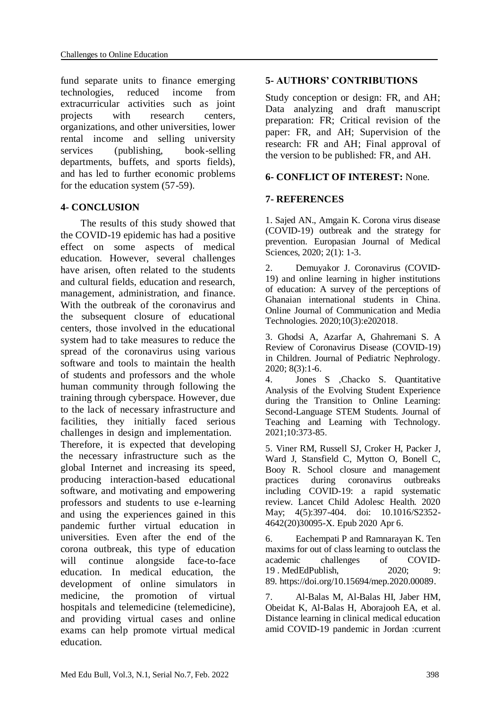fund separate units to finance emerging technologies, reduced income from extracurricular activities such as joint projects with research centers, organizations, and other universities, lower rental income and selling university services (publishing, book-selling departments, buffets, and sports fields), and has led to further economic problems for the education system (57-59).

# **4- CONCLUSION**

 The results of this study showed that the COVID-19 epidemic has had a positive effect on some aspects of medical education. However, several challenges have arisen, often related to the students and cultural fields, education and research, management, administration, and finance. With the outbreak of the coronavirus and the subsequent closure of educational centers, those involved in the educational system had to take measures to reduce the spread of the coronavirus using various software and tools to maintain the health of students and professors and the whole human community through following the training through cyberspace. However, due to the lack of necessary infrastructure and facilities, they initially faced serious challenges in design and implementation. Therefore, it is expected that developing

the necessary infrastructure such as the global Internet and increasing its speed, producing interaction-based educational software, and motivating and empowering professors and students to use e-learning and using the experiences gained in this pandemic further virtual education in universities. Even after the end of the corona outbreak, this type of education will continue alongside face-to-face education. In medical education, the development of online simulators in medicine, the promotion of virtual hospitals and telemedicine (telemedicine), and providing virtual cases and online exams can help promote virtual medical education.

# **5- AUTHORS' CONTRIBUTIONS**

Study conception or design: FR, and AH; Data analyzing and draft manuscript preparation: FR; Critical revision of the paper: FR, and AH; Supervision of the research: FR and AH; Final approval of the version to be published: FR, and AH.

# **6- CONFLICT OF INTEREST:** None.

# **7- REFERENCES**

1. Sajed AN., Amgain K. Corona virus disease (COVID-19) outbreak and the strategy for prevention. Europasian Journal of Medical Sciences, 2020; 2(1): 1-3.

2. Demuyakor J. Coronavirus (COVID-19) and online learning in higher institutions of education: A survey of the perceptions of Ghanaian international students in China. Online Journal of Communication and Media Technologies. 2020;10(3):e202018.

3. Ghodsi A, Azarfar A, Ghahremani S. A Review of Coronavirus Disease (COVID-19) in Children. Journal of Pediatric Nephrology. 2020; 8(3):1-6.

4. Jones S ,Chacko S. Quantitative Analysis of the Evolving Student Experience during the Transition to Online Learning: Second-Language STEM Students. Journal of Teaching and Learning with Technology. 2021;10:373-85.

5. Viner RM, Russell SJ, Croker H, Packer J, Ward J, Stansfield C, Mytton O, Bonell C, Booy R. School closure and management practices during coronavirus outbreaks including COVID-19: a rapid systematic review. Lancet Child Adolesc Health. 2020 May; 4(5):397-404. doi: 10.1016/S2352- 4642(20)30095-X. Epub 2020 Apr 6.

6. Eachempati P and Ramnarayan K. Ten maxims for out of class learning to outclass the academic challenges of COVID-19 . MedEdPublish, 2020; 9: 89. https://doi.org/10.15694/mep.2020.00089.

7. Al-Balas M, Al-Balas HI, Jaber HM, Obeidat K, Al-Balas H, Aborajooh EA, et al. Distance learning in clinical medical education amid COVID-19 pandemic in Jordan :current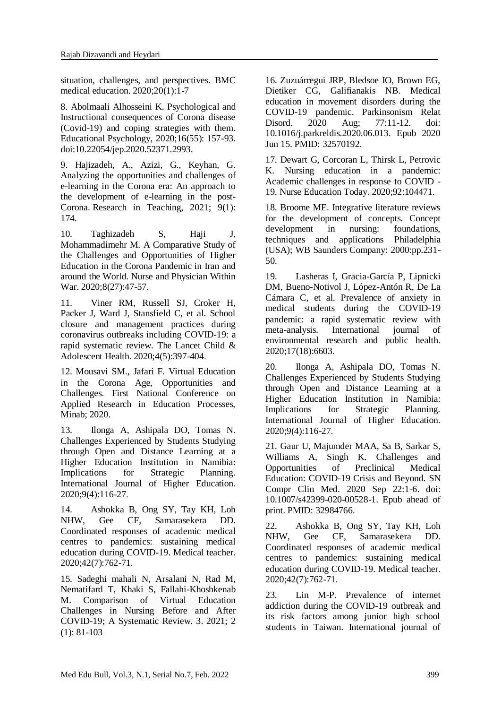situation, challenges, and perspectives. BMC medical education. 2020;20(1):1-7

8. Abolmaali Alhosseini K. Psychological and Instructional consequences of Corona disease (Covid-19) and coping strategies with them. Educational Psychology, 2020;16(55): 157-93. doi:10.22054/jep.2020.52371.2993.

9. Hajizadeh, A., Azizi, G., Keyhan, G. Analyzing the opportunities and challenges of e-learning in the Corona era: An approach to the development of e-learning in the post-Corona. Research in Teaching, 2021; 9(1): 174.

10. Taghizadeh S, Haji J, Mohammadimehr M. A Comparative Study of the Challenges and Opportunities of Higher Education in the Corona Pandemic in Iran and around the World. Nurse and Physician Within War. 2020;8(27):47-57.

11. Viner RM, Russell SJ, Croker H, Packer J, Ward J, Stansfield C, et al. School closure and management practices during coronavirus outbreaks including COVID-19: a rapid systematic review. The Lancet Child & Adolescent Health. 2020;4(5):397-404.

12. Mousavi SM., Jafari F. Virtual Education in the Corona Age, Opportunities and Challenges. First National Conference on Applied Research in Education Processes, Minab; 2020.

13. Ilonga A, Ashipala DO, Tomas N. Challenges Experienced by Students Studying through Open and Distance Learning at a Higher Education Institution in Namibia: Implications for Strategic Planning. International Journal of Higher Education. 2020;9(4):116-27.

14. Ashokka B, Ong SY, Tay KH, Loh NHW, Gee CF, Samarasekera DD. Coordinated responses of academic medical centres to pandemics: sustaining medical education during COVID-19. Medical teacher. 2020;42(7):762-71.

15. Sadeghi mahali N, Arsalani N, Rad M, Nematifard T, Khaki S, Fallahi-Khoshkenab M. Comparison of Virtual Education Challenges in Nursing Before and After COVID-19; A Systematic Review. 3. 2021; 2 (1): 81-103

16. Zuzuárregui JRP, Bledsoe IO, Brown EG, Dietiker CG, Galifianakis NB. Medical education in movement disorders during the COVID-19 pandemic. Parkinsonism Relat Disord. 2020 Aug; 77:11-12. doi: 10.1016/j.parkreldis.2020.06.013. Epub 2020 Jun 15. PMID: 32570192.

17. Dewart G, Corcoran L, Thirsk L, Petrovic K. Nursing education in a pandemic: Academic challenges in response to COVID - 19. Nurse Education Today. 2020;92:104471.

18. Broome ME. Integrative literature reviews for the development of concepts. Concept development in nursing: foundations, techniques and applications Philadelphia (USA); WB Saunders Company: 2000:pp.231- 50.

19. Lasheras I, Gracia-García P, Lipnicki DM, Bueno-Notivol J, López-Antón R, De La Cámara C, et al. Prevalence of anxiety in medical students during the COVID-19 pandemic: a rapid systematic review with meta-analysis. International journal of environmental research and public health. 2020;17(18):6603.

20. Ilonga A, Ashipala DO, Tomas N. Challenges Experienced by Students Studying through Open and Distance Learning at a Higher Education Institution in Namibia: Implications for Strategic Planning. International Journal of Higher Education. 2020;9(4):116-27.

21. Gaur U, Majumder MAA, Sa B, Sarkar S, Williams A, Singh K. Challenges and Opportunities of Preclinical Medical Education: COVID-19 Crisis and Beyond. SN Compr Clin Med. 2020 Sep 22:1-6. doi: 10.1007/s42399-020-00528-1. Epub ahead of print. PMID: 32984766.

22. Ashokka B, Ong SY, Tay KH, Loh NHW, Gee CF, Samarasekera DD. Coordinated responses of academic medical centres to pandemics: sustaining medical education during COVID-19. Medical teacher. 2020;42(7):762-71.

23. Lin M-P. Prevalence of internet addiction during the COVID-19 outbreak and its risk factors among junior high school students in Taiwan. International journal of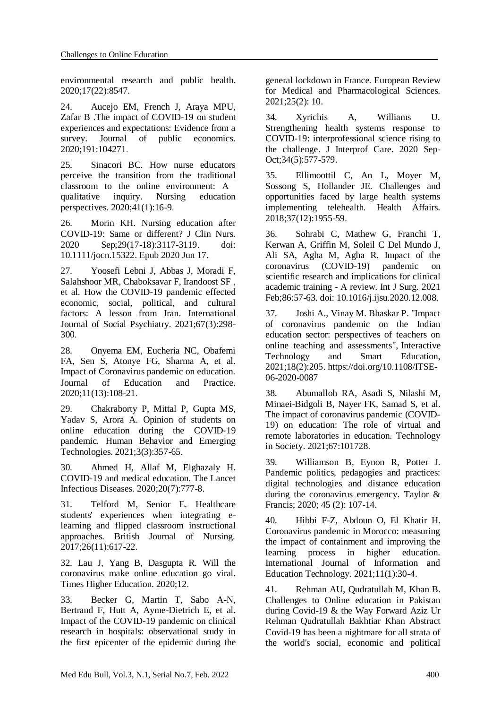environmental research and public health. 2020;17(22):8547.

24. Aucejo EM, French J, Araya MPU, Zafar B .The impact of COVID-19 on student experiences and expectations: Evidence from a survey. Journal of public economics. 2020;191:104271.

25. Sinacori BC. How nurse educators perceive the transition from the traditional classroom to the online environment: A qualitative inquiry. Nursing education perspectives. 2020;41(1):16-9.

26. Morin KH. Nursing education after COVID-19: Same or different? J Clin Nurs. 2020 Sep;29(17-18):3117-3119. doi: 10.1111/jocn.15322. Epub 2020 Jun 17.

27. Yoosefi Lebni J, Abbas J, Moradi F, Salahshoor MR, Chaboksavar F, Irandoost SF , et al. How the COVID-19 pandemic effected economic, social, political, and cultural factors: A lesson from Iran. International Journal of Social Psychiatry. 2021;67(3):298- 300.

28. Onyema EM, Eucheria NC, Obafemi FA, Sen S, Atonye FG, Sharma A, et al. Impact of Coronavirus pandemic on education. Journal of Education and Practice. 2020;11(13):108-21.

29. Chakraborty P, Mittal P, Gupta MS, Yadav S, Arora A. Opinion of students on online education during the COVID‐19 pandemic. Human Behavior and Emerging Technologies. 2021;3(3):357-65.

30. Ahmed H, Allaf M, Elghazaly H. COVID-19 and medical education. The Lancet Infectious Diseases. 2020;20(7):777-8.

31. Telford M, Senior E. Healthcare students' experiences when integrating elearning and flipped classroom instructional approaches. British Journal of Nursing. 2017;26(11):617-22.

32. Lau J, Yang B, Dasgupta R. Will the coronavirus make online education go viral. Times Higher Education. 2020;12.

33. Becker G, Martin T, Sabo A-N, Bertrand F, Hutt A, Ayme-Dietrich E, et al. Impact of the COVID-19 pandemic on clinical research in hospitals: observational study in the first epicenter of the epidemic during the

general lockdown in France. European Review for Medical and Pharmacological Sciences. 2021;25(2): 10.

34. Xyrichis A, Williams U. Strengthening health systems response to COVID-19: interprofessional science rising to the challenge. J Interprof Care. 2020 Sep-Oct;34(5):577-579.

35. Ellimoottil C, An L, Moyer M, Sossong S, Hollander JE. Challenges and opportunities faced by large health systems implementing telehealth. Health Affairs. 2018;37(12):1955-59.

36. Sohrabi C, Mathew G, Franchi T, Kerwan A, Griffin M, Soleil C Del Mundo J, Ali SA, Agha M, Agha R. Impact of the coronavirus (COVID-19) pandemic on scientific research and implications for clinical academic training - A review. Int J Surg. 2021 Feb;86:57-63. doi: 10.1016/j.ijsu.2020.12.008.

37. [Joshi A.,](https://www.emerald.com/insight/search?q=Amit%20Joshi) [Vinay M.](https://www.emerald.com/insight/search?q=Muddu%20Vinay) [Bhaskar P.](https://www.emerald.com/insight/search?q=Preeti%20Bhaskar) "Impact of coronavirus pandemic on the Indian education sector: perspectives of teachers on online teaching and assessments", [Interactive](https://www.emerald.com/insight/publication/issn/1741-5659)  [Technology and Smart Education,](https://www.emerald.com/insight/publication/issn/1741-5659) 2021;18(2):205. [https://doi.org/10.1108/ITSE-](https://doi.org/10.1108/ITSE-06-2020-0087)[06-2020-0087](https://doi.org/10.1108/ITSE-06-2020-0087)

38. Abumalloh RA, Asadi S, Nilashi M, Minaei-Bidgoli B, Nayer FK, Samad S, et al. The impact of coronavirus pandemic (COVID-19) on education: The role of virtual and remote laboratories in education. Technology in Society. 2021;67:101728.

39. Williamson B, Eynon R, Potter J. Pandemic politics, pedagogies and practices: digital technologies and distance education during the coronavirus emergency. Taylor & Francis; 2020; 45 (2): 107-14.

40. Hibbi F-Z, Abdoun O, El Khatir H. Coronavirus pandemic in Morocco: measuring the impact of containment and improving the learning process in higher education. International Journal of Information and Education Technology. 2021;11(1):30-4.

41. Rehman AU, Qudratullah M, Khan B. Challenges to Online education in Pakistan during Covid-19 & the Way Forward Aziz Ur Rehman Qudratullah Bakhtiar Khan Abstract Covid-19 has been a nightmare for all strata of the world's social, economic and political